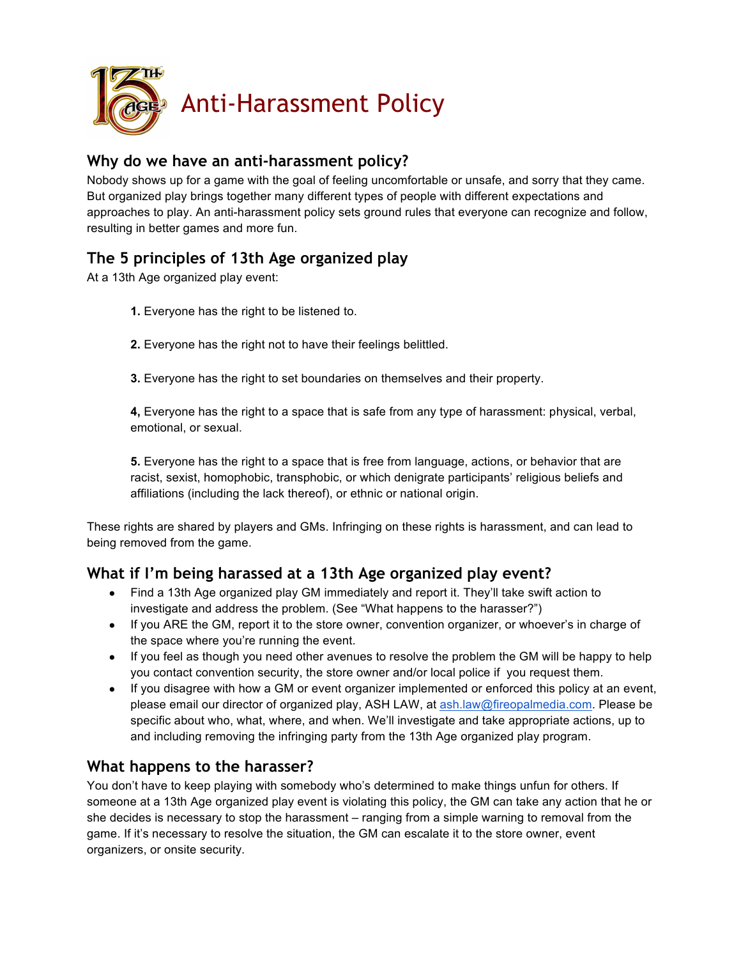

#### **Why do we have an anti-harassment policy?**

Nobody shows up for a game with the goal of feeling uncomfortable or unsafe, and sorry that they came. But organized play brings together many different types of people with different expectations and approaches to play. An anti-harassment policy sets ground rules that everyone can recognize and follow, resulting in better games and more fun.

#### **The 5 principles of 13th Age organized play**

At a 13th Age organized play event:

- **1.** Everyone has the right to be listened to.
- **2.** Everyone has the right not to have their feelings belittled.
- **3.** Everyone has the right to set boundaries on themselves and their property.

**4,** Everyone has the right to a space that is safe from any type of harassment: physical, verbal, emotional, or sexual.

**5.** Everyone has the right to a space that is free from language, actions, or behavior that are racist, sexist, homophobic, transphobic, or which denigrate participants' religious beliefs and affiliations (including the lack thereof), or ethnic or national origin.

These rights are shared by players and GMs. Infringing on these rights is harassment, and can lead to being removed from the game.

#### **What if I'm being harassed at a 13th Age organized play event?**

- Find a 13th Age organized play GM immediately and report it. They'll take swift action to investigate and address the problem. (See "What happens to the harasser?")
- If you ARE the GM, report it to the store owner, convention organizer, or whoever's in charge of the space where you're running the event.
- If you feel as though you need other avenues to resolve the problem the GM will be happy to help you contact convention security, the store owner and/or local police if you request them.
- If you disagree with how a GM or event organizer implemented or enforced this policy at an event, please email our director of organized play, ASH LAW, at ash.law@fireopalmedia.com. Please be specific about who, what, where, and when. We'll investigate and take appropriate actions, up to and including removing the infringing party from the 13th Age organized play program.

#### **What happens to the harasser?**

You don't have to keep playing with somebody who's determined to make things unfun for others. If someone at a 13th Age organized play event is violating this policy, the GM can take any action that he or she decides is necessary to stop the harassment – ranging from a simple warning to removal from the game. If it's necessary to resolve the situation, the GM can escalate it to the store owner, event organizers, or onsite security.